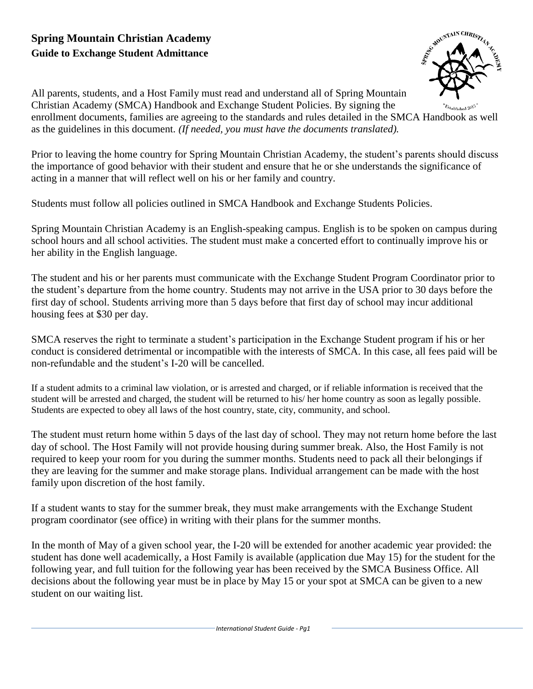# **Spring Mountain Christian Academy Guide to Exchange Student Admittance**



All parents, students, and a Host Family must read and understand all of Spring Mountain Christian Academy (SMCA) Handbook and Exchange Student Policies. By signing the enrollment documents, families are agreeing to the standards and rules detailed in the SMCA Handbook as well as the guidelines in this document. *(If needed, you must have the documents translated).*

Prior to leaving the home country for Spring Mountain Christian Academy, the student's parents should discuss the importance of good behavior with their student and ensure that he or she understands the significance of acting in a manner that will reflect well on his or her family and country.

Students must follow all policies outlined in SMCA Handbook and Exchange Students Policies.

Spring Mountain Christian Academy is an English-speaking campus. English is to be spoken on campus during school hours and all school activities. The student must make a concerted effort to continually improve his or her ability in the English language.

The student and his or her parents must communicate with the Exchange Student Program Coordinator prior to the student's departure from the home country. Students may not arrive in the USA prior to 30 days before the first day of school. Students arriving more than 5 days before that first day of school may incur additional housing fees at \$30 per day.

SMCA reserves the right to terminate a student's participation in the Exchange Student program if his or her conduct is considered detrimental or incompatible with the interests of SMCA. In this case, all fees paid will be non-refundable and the student's I-20 will be cancelled.

If a student admits to a criminal law violation, or is arrested and charged, or if reliable information is received that the student will be arrested and charged, the student will be returned to his/ her home country as soon as legally possible. Students are expected to obey all laws of the host country, state, city, community, and school.

The student must return home within 5 days of the last day of school. They may not return home before the last day of school. The Host Family will not provide housing during summer break. Also, the Host Family is not required to keep your room for you during the summer months. Students need to pack all their belongings if they are leaving for the summer and make storage plans. Individual arrangement can be made with the host family upon discretion of the host family.

If a student wants to stay for the summer break, they must make arrangements with the Exchange Student program coordinator (see office) in writing with their plans for the summer months.

In the month of May of a given school year, the I-20 will be extended for another academic year provided: the student has done well academically, a Host Family is available (application due May 15) for the student for the following year, and full tuition for the following year has been received by the SMCA Business Office. All decisions about the following year must be in place by May 15 or your spot at SMCA can be given to a new student on our waiting list.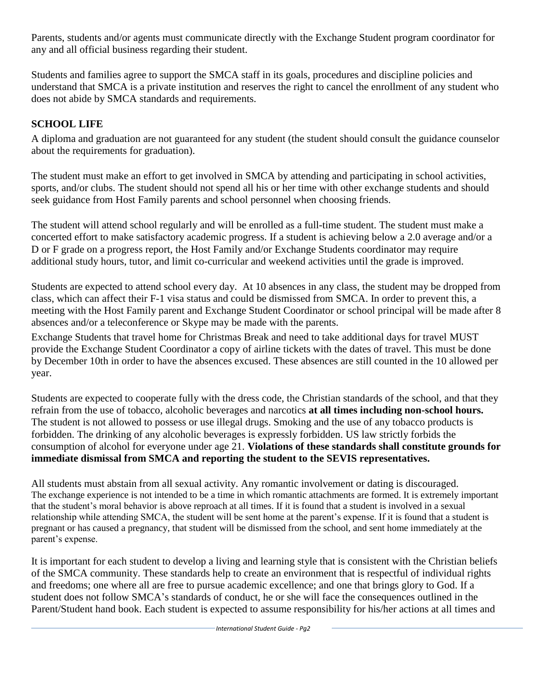Parents, students and/or agents must communicate directly with the Exchange Student program coordinator for any and all official business regarding their student.

Students and families agree to support the SMCA staff in its goals, procedures and discipline policies and understand that SMCA is a private institution and reserves the right to cancel the enrollment of any student who does not abide by SMCA standards and requirements.

# **SCHOOL LIFE**

A diploma and graduation are not guaranteed for any student (the student should consult the guidance counselor about the requirements for graduation).

The student must make an effort to get involved in SMCA by attending and participating in school activities, sports, and/or clubs. The student should not spend all his or her time with other exchange students and should seek guidance from Host Family parents and school personnel when choosing friends.

The student will attend school regularly and will be enrolled as a full-time student. The student must make a concerted effort to make satisfactory academic progress. If a student is achieving below a 2.0 average and/or a D or F grade on a progress report, the Host Family and/or Exchange Students coordinator may require additional study hours, tutor, and limit co-curricular and weekend activities until the grade is improved.

Students are expected to attend school every day. At 10 absences in any class, the student may be dropped from class, which can affect their F-1 visa status and could be dismissed from SMCA. In order to prevent this, a meeting with the Host Family parent and Exchange Student Coordinator or school principal will be made after 8 absences and/or a teleconference or Skype may be made with the parents.

Exchange Students that travel home for Christmas Break and need to take additional days for travel MUST provide the Exchange Student Coordinator a copy of airline tickets with the dates of travel. This must be done by December 10th in order to have the absences excused. These absences are still counted in the 10 allowed per year.

Students are expected to cooperate fully with the dress code, the Christian standards of the school, and that they refrain from the use of tobacco, alcoholic beverages and narcotics **at all times including non-school hours.**  The student is not allowed to possess or use illegal drugs. Smoking and the use of any tobacco products is forbidden. The drinking of any alcoholic beverages is expressly forbidden. US law strictly forbids the consumption of alcohol for everyone under age 21. **Violations of these standards shall constitute grounds for immediate dismissal from SMCA and reporting the student to the SEVIS representatives.**

All students must abstain from all sexual activity. Any romantic involvement or dating is discouraged. The exchange experience is not intended to be a time in which romantic attachments are formed. It is extremely important that the student's moral behavior is above reproach at all times. If it is found that a student is involved in a sexual relationship while attending SMCA, the student will be sent home at the parent's expense. If it is found that a student is pregnant or has caused a pregnancy, that student will be dismissed from the school, and sent home immediately at the parent's expense.

It is important for each student to develop a living and learning style that is consistent with the Christian beliefs of the SMCA community. These standards help to create an environment that is respectful of individual rights and freedoms; one where all are free to pursue academic excellence; and one that brings glory to God. If a student does not follow SMCA's standards of conduct, he or she will face the consequences outlined in the Parent/Student hand book. Each student is expected to assume responsibility for his/her actions at all times and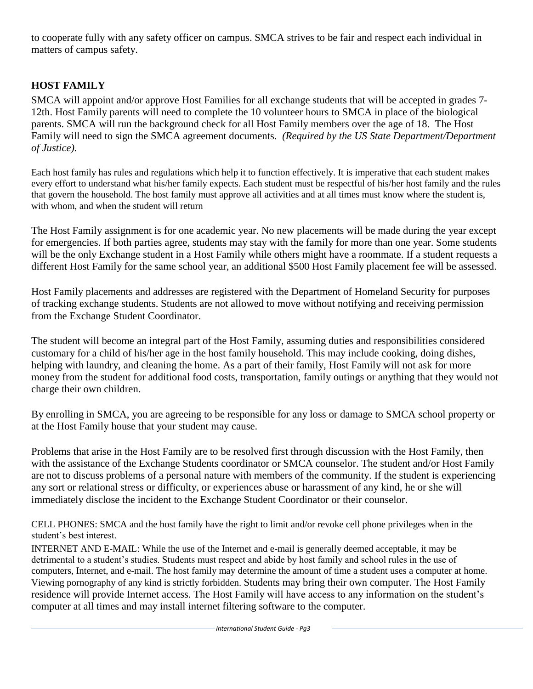to cooperate fully with any safety officer on campus. SMCA strives to be fair and respect each individual in matters of campus safety.

## **HOST FAMILY**

SMCA will appoint and/or approve Host Families for all exchange students that will be accepted in grades 7- 12th. Host Family parents will need to complete the 10 volunteer hours to SMCA in place of the biological parents. SMCA will run the background check for all Host Family members over the age of 18. The Host Family will need to sign the SMCA agreement documents. *(Required by the US State Department/Department of Justice).*

Each host family has rules and regulations which help it to function effectively. It is imperative that each student makes every effort to understand what his/her family expects. Each student must be respectful of his/her host family and the rules that govern the household. The host family must approve all activities and at all times must know where the student is, with whom, and when the student will return

The Host Family assignment is for one academic year. No new placements will be made during the year except for emergencies. If both parties agree, students may stay with the family for more than one year. Some students will be the only Exchange student in a Host Family while others might have a roommate. If a student requests a different Host Family for the same school year, an additional \$500 Host Family placement fee will be assessed.

Host Family placements and addresses are registered with the Department of Homeland Security for purposes of tracking exchange students. Students are not allowed to move without notifying and receiving permission from the Exchange Student Coordinator.

The student will become an integral part of the Host Family, assuming duties and responsibilities considered customary for a child of his/her age in the host family household. This may include cooking, doing dishes, helping with laundry, and cleaning the home. As a part of their family, Host Family will not ask for more money from the student for additional food costs, transportation, family outings or anything that they would not charge their own children.

By enrolling in SMCA, you are agreeing to be responsible for any loss or damage to SMCA school property or at the Host Family house that your student may cause.

Problems that arise in the Host Family are to be resolved first through discussion with the Host Family, then with the assistance of the Exchange Students coordinator or SMCA counselor. The student and/or Host Family are not to discuss problems of a personal nature with members of the community. If the student is experiencing any sort or relational stress or difficulty, or experiences abuse or harassment of any kind, he or she will immediately disclose the incident to the Exchange Student Coordinator or their counselor.

CELL PHONES: SMCA and the host family have the right to limit and/or revoke cell phone privileges when in the student's best interest.

INTERNET AND E-MAIL: While the use of the Internet and e-mail is generally deemed acceptable, it may be detrimental to a student's studies. Students must respect and abide by host family and school rules in the use of computers, Internet, and e-mail. The host family may determine the amount of time a student uses a computer at home. Viewing pornography of any kind is strictly forbidden. Students may bring their own computer. The Host Family residence will provide Internet access. The Host Family will have access to any information on the student's computer at all times and may install internet filtering software to the computer.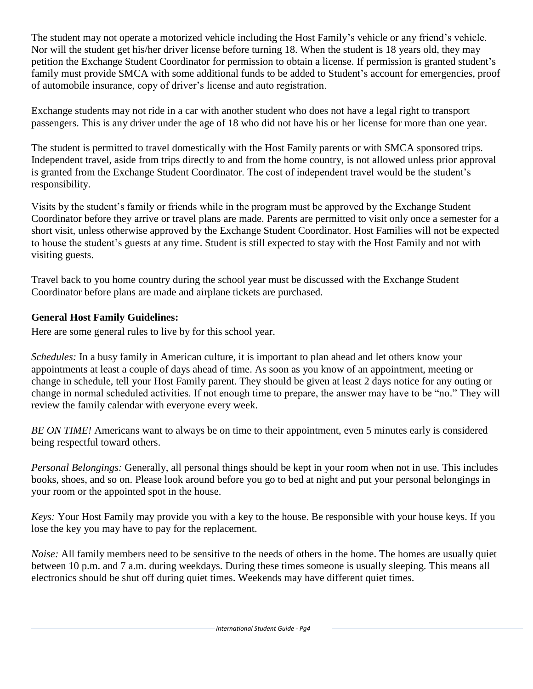The student may not operate a motorized vehicle including the Host Family's vehicle or any friend's vehicle. Nor will the student get his/her driver license before turning 18. When the student is 18 years old, they may petition the Exchange Student Coordinator for permission to obtain a license. If permission is granted student's family must provide SMCA with some additional funds to be added to Student's account for emergencies, proof of automobile insurance, copy of driver's license and auto registration.

Exchange students may not ride in a car with another student who does not have a legal right to transport passengers. This is any driver under the age of 18 who did not have his or her license for more than one year.

The student is permitted to travel domestically with the Host Family parents or with SMCA sponsored trips. Independent travel, aside from trips directly to and from the home country, is not allowed unless prior approval is granted from the Exchange Student Coordinator. The cost of independent travel would be the student's responsibility.

Visits by the student's family or friends while in the program must be approved by the Exchange Student Coordinator before they arrive or travel plans are made. Parents are permitted to visit only once a semester for a short visit, unless otherwise approved by the Exchange Student Coordinator. Host Families will not be expected to house the student's guests at any time. Student is still expected to stay with the Host Family and not with visiting guests.

Travel back to you home country during the school year must be discussed with the Exchange Student Coordinator before plans are made and airplane tickets are purchased.

## **General Host Family Guidelines:**

Here are some general rules to live by for this school year.

*Schedules:* In a busy family in American culture, it is important to plan ahead and let others know your appointments at least a couple of days ahead of time. As soon as you know of an appointment, meeting or change in schedule, tell your Host Family parent. They should be given at least 2 days notice for any outing or change in normal scheduled activities. If not enough time to prepare, the answer may have to be "no." They will review the family calendar with everyone every week.

*BE ON TIME!* Americans want to always be on time to their appointment, even 5 minutes early is considered being respectful toward others.

*Personal Belongings:* Generally, all personal things should be kept in your room when not in use. This includes books, shoes, and so on. Please look around before you go to bed at night and put your personal belongings in your room or the appointed spot in the house.

*Keys:* Your Host Family may provide you with a key to the house. Be responsible with your house keys. If you lose the key you may have to pay for the replacement.

*Noise:* All family members need to be sensitive to the needs of others in the home. The homes are usually quiet between 10 p.m. and 7 a.m. during weekdays. During these times someone is usually sleeping. This means all electronics should be shut off during quiet times. Weekends may have different quiet times.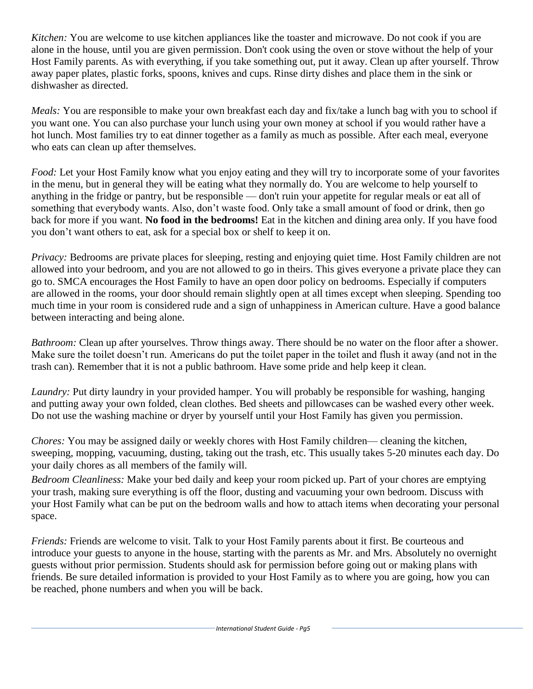*Kitchen:* You are welcome to use kitchen appliances like the toaster and microwave. Do not cook if you are alone in the house, until you are given permission. Don't cook using the oven or stove without the help of your Host Family parents. As with everything, if you take something out, put it away. Clean up after yourself. Throw away paper plates, plastic forks, spoons, knives and cups. Rinse dirty dishes and place them in the sink or dishwasher as directed.

*Meals:* You are responsible to make your own breakfast each day and fix/take a lunch bag with you to school if you want one. You can also purchase your lunch using your own money at school if you would rather have a hot lunch. Most families try to eat dinner together as a family as much as possible. After each meal, everyone who eats can clean up after themselves.

*Food:* Let your Host Family know what you enjoy eating and they will try to incorporate some of your favorites in the menu, but in general they will be eating what they normally do. You are welcome to help yourself to anything in the fridge or pantry, but be responsible — don't ruin your appetite for regular meals or eat all of something that everybody wants. Also, don't waste food. Only take a small amount of food or drink, then go back for more if you want. **No food in the bedrooms!** Eat in the kitchen and dining area only. If you have food you don't want others to eat, ask for a special box or shelf to keep it on.

*Privacy:* Bedrooms are private places for sleeping, resting and enjoying quiet time. Host Family children are not allowed into your bedroom, and you are not allowed to go in theirs. This gives everyone a private place they can go to. SMCA encourages the Host Family to have an open door policy on bedrooms. Especially if computers are allowed in the rooms, your door should remain slightly open at all times except when sleeping. Spending too much time in your room is considered rude and a sign of unhappiness in American culture. Have a good balance between interacting and being alone.

*Bathroom:* Clean up after yourselves. Throw things away. There should be no water on the floor after a shower. Make sure the toilet doesn't run. Americans do put the toilet paper in the toilet and flush it away (and not in the trash can). Remember that it is not a public bathroom. Have some pride and help keep it clean.

*Laundry:* Put dirty laundry in your provided hamper. You will probably be responsible for washing, hanging and putting away your own folded, clean clothes. Bed sheets and pillowcases can be washed every other week. Do not use the washing machine or dryer by yourself until your Host Family has given you permission.

*Chores:* You may be assigned daily or weekly chores with Host Family children— cleaning the kitchen, sweeping, mopping, vacuuming, dusting, taking out the trash, etc. This usually takes 5-20 minutes each day. Do your daily chores as all members of the family will.

*Bedroom Cleanliness:* Make your bed daily and keep your room picked up. Part of your chores are emptying your trash, making sure everything is off the floor, dusting and vacuuming your own bedroom. Discuss with your Host Family what can be put on the bedroom walls and how to attach items when decorating your personal space.

*Friends:* Friends are welcome to visit. Talk to your Host Family parents about it first. Be courteous and introduce your guests to anyone in the house, starting with the parents as Mr. and Mrs. Absolutely no overnight guests without prior permission. Students should ask for permission before going out or making plans with friends. Be sure detailed information is provided to your Host Family as to where you are going, how you can be reached, phone numbers and when you will be back.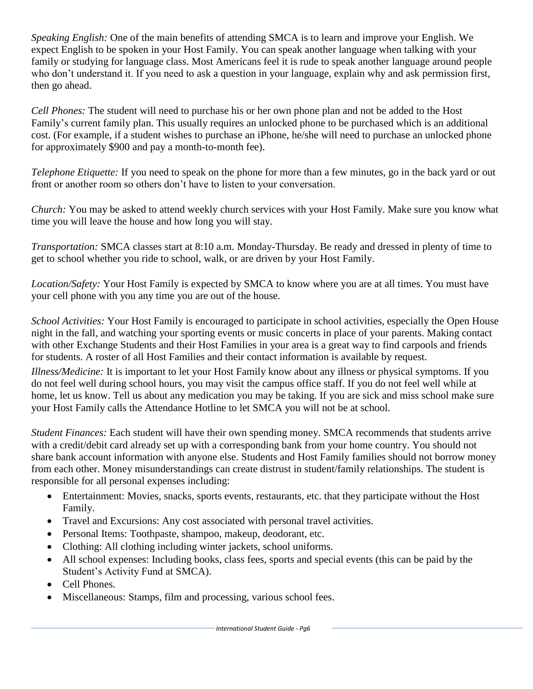*Speaking English:* One of the main benefits of attending SMCA is to learn and improve your English. We expect English to be spoken in your Host Family. You can speak another language when talking with your family or studying for language class. Most Americans feel it is rude to speak another language around people who don't understand it. If you need to ask a question in your language, explain why and ask permission first, then go ahead.

*Cell Phones:* The student will need to purchase his or her own phone plan and not be added to the Host Family's current family plan. This usually requires an unlocked phone to be purchased which is an additional cost. (For example, if a student wishes to purchase an iPhone, he/she will need to purchase an unlocked phone for approximately \$900 and pay a month-to-month fee).

*Telephone Etiquette:* If you need to speak on the phone for more than a few minutes, go in the back yard or out front or another room so others don't have to listen to your conversation.

*Church:* You may be asked to attend weekly church services with your Host Family. Make sure you know what time you will leave the house and how long you will stay.

*Transportation:* SMCA classes start at 8:10 a.m. Monday-Thursday. Be ready and dressed in plenty of time to get to school whether you ride to school, walk, or are driven by your Host Family.

*Location/Safety:* Your Host Family is expected by SMCA to know where you are at all times. You must have your cell phone with you any time you are out of the house.

*School Activities:* Your Host Family is encouraged to participate in school activities, especially the Open House night in the fall, and watching your sporting events or music concerts in place of your parents. Making contact with other Exchange Students and their Host Families in your area is a great way to find carpools and friends for students. A roster of all Host Families and their contact information is available by request.

*Illness/Medicine:* It is important to let your Host Family know about any illness or physical symptoms. If you do not feel well during school hours, you may visit the campus office staff. If you do not feel well while at home, let us know. Tell us about any medication you may be taking. If you are sick and miss school make sure your Host Family calls the Attendance Hotline to let SMCA you will not be at school.

*Student Finances:* Each student will have their own spending money. SMCA recommends that students arrive with a credit/debit card already set up with a corresponding bank from your home country. You should not share bank account information with anyone else. Students and Host Family families should not borrow money from each other. Money misunderstandings can create distrust in student/family relationships. The student is responsible for all personal expenses including:

- Entertainment: Movies, snacks, sports events, restaurants, etc. that they participate without the Host Family.
- Travel and Excursions: Any cost associated with personal travel activities.
- Personal Items: Toothpaste, shampoo, makeup, deodorant, etc.
- Clothing: All clothing including winter jackets, school uniforms.
- All school expenses: Including books, class fees, sports and special events (this can be paid by the Student's Activity Fund at SMCA).
- Cell Phones.
- Miscellaneous: Stamps, film and processing, various school fees.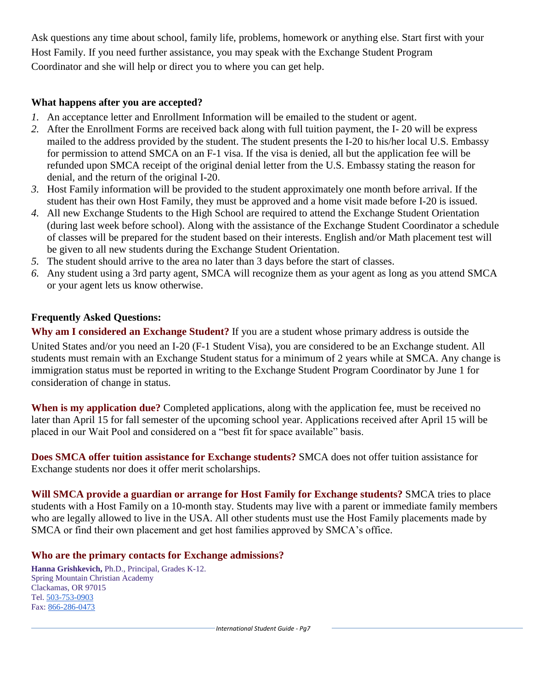Ask questions any time about school, family life, problems, homework or anything else. Start first with your Host Family. If you need further assistance, you may speak with the Exchange Student Program Coordinator and she will help or direct you to where you can get help.

### **What happens after you are accepted?**

- *1.* An acceptance letter and Enrollment Information will be emailed to the student or agent.
- *2.* After the Enrollment Forms are received back along with full tuition payment, the I- 20 will be express mailed to the address provided by the student. The student presents the I-20 to his/her local U.S. Embassy for permission to attend SMCA on an F-1 visa. If the visa is denied, all but the application fee will be refunded upon SMCA receipt of the original denial letter from the U.S. Embassy stating the reason for denial, and the return of the original I-20.
- *3.* Host Family information will be provided to the student approximately one month before arrival. If the student has their own Host Family, they must be approved and a home visit made before I-20 is issued.
- *4.* All new Exchange Students to the High School are required to attend the Exchange Student Orientation (during last week before school). Along with the assistance of the Exchange Student Coordinator a schedule of classes will be prepared for the student based on their interests. English and/or Math placement test will be given to all new students during the Exchange Student Orientation.
- *5.* The student should arrive to the area no later than 3 days before the start of classes.
- *6.* Any student using a 3rd party agent, SMCA will recognize them as your agent as long as you attend SMCA or your agent lets us know otherwise.

## **Frequently Asked Questions:**

**Why am I considered an Exchange Student?** If you are a student whose primary address is outside the United States and/or you need an I-20 (F-1 Student Visa), you are considered to be an Exchange student. All students must remain with an Exchange Student status for a minimum of 2 years while at SMCA. Any change is immigration status must be reported in writing to the Exchange Student Program Coordinator by June 1 for consideration of change in status.

When is my application due? Completed applications, along with the application fee, must be received no later than April 15 for fall semester of the upcoming school year. Applications received after April 15 will be placed in our Wait Pool and considered on a "best fit for space available" basis.

**Does SMCA offer tuition assistance for Exchange students?** SMCA does not offer tuition assistance for Exchange students nor does it offer merit scholarships.

**Will SMCA provide a guardian or arrange for Host Family for Exchange students?** SMCA tries to place students with a Host Family on a 10-month stay. Students may live with a parent or immediate family members who are legally allowed to live in the USA. All other students must use the Host Family placements made by SMCA or find their own placement and get host families approved by SMCA's office.

#### **Who are the primary contacts for Exchange admissions?**

**Hanna Grishkevich,** Ph.D., Principal, Grades K-12. Spring Mountain Christian Academy Clackamas, OR 97015 Tel. [503-753-0903](tel:(503)%20753-0903) Fax: [866-286-0473](tel:(866)%20286-0473)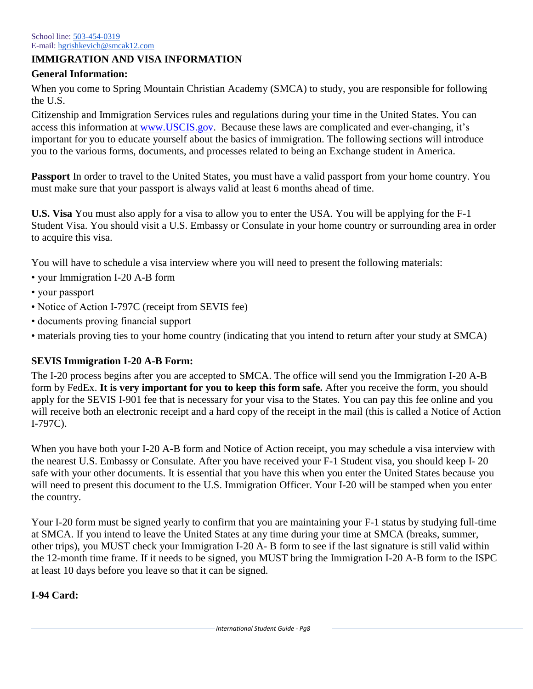## **IMMIGRATION AND VISA INFORMATION**

### **General Information:**

When you come to Spring Mountain Christian Academy (SMCA) to study, you are responsible for following the U.S.

Citizenship and Immigration Services rules and regulations during your time in the United States. You can access this information at [www.USCIS.gov.](http://www.uscis.gov/) Because these laws are complicated and ever-changing, it's important for you to educate yourself about the basics of immigration. The following sections will introduce you to the various forms, documents, and processes related to being an Exchange student in America.

**Passport** In order to travel to the United States, you must have a valid passport from your home country. You must make sure that your passport is always valid at least 6 months ahead of time.

**U.S. Visa** You must also apply for a visa to allow you to enter the USA. You will be applying for the F-1 Student Visa. You should visit a U.S. Embassy or Consulate in your home country or surrounding area in order to acquire this visa.

You will have to schedule a visa interview where you will need to present the following materials:

- your Immigration I-20 A-B form
- your passport
- Notice of Action I-797C (receipt from SEVIS fee)
- documents proving financial support
- materials proving ties to your home country (indicating that you intend to return after your study at SMCA)

## **SEVIS Immigration I-20 A-B Form:**

The I-20 process begins after you are accepted to SMCA. The office will send you the Immigration I-20 A-B form by FedEx. **It is very important for you to keep this form safe.** After you receive the form, you should apply for the SEVIS I-901 fee that is necessary for your visa to the States. You can pay this fee online and you will receive both an electronic receipt and a hard copy of the receipt in the mail (this is called a Notice of Action I-797C).

When you have both your I-20 A-B form and Notice of Action receipt, you may schedule a visa interview with the nearest U.S. Embassy or Consulate. After you have received your F-1 Student visa, you should keep I- 20 safe with your other documents. It is essential that you have this when you enter the United States because you will need to present this document to the U.S. Immigration Officer. Your I-20 will be stamped when you enter the country.

Your I-20 form must be signed yearly to confirm that you are maintaining your F-1 status by studying full-time at SMCA. If you intend to leave the United States at any time during your time at SMCA (breaks, summer, other trips), you MUST check your Immigration I-20 A- B form to see if the last signature is still valid within the 12-month time frame. If it needs to be signed, you MUST bring the Immigration I-20 A-B form to the ISPC at least 10 days before you leave so that it can be signed.

## **I-94 Card:**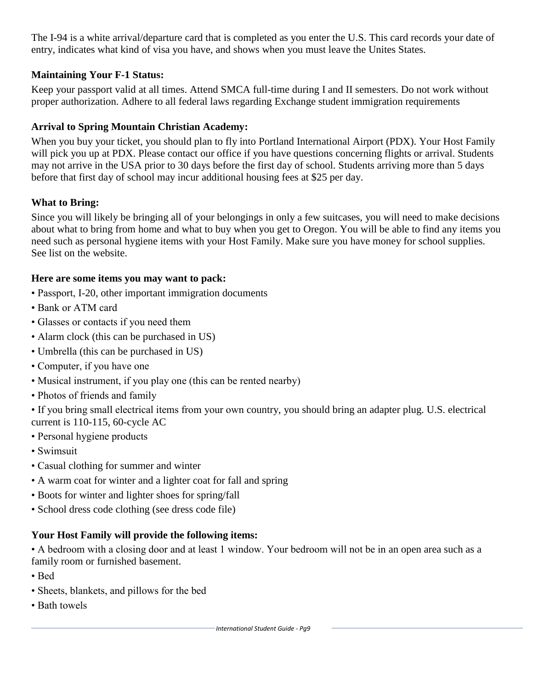The I-94 is a white arrival/departure card that is completed as you enter the U.S. This card records your date of entry, indicates what kind of visa you have, and shows when you must leave the Unites States.

## **Maintaining Your F-1 Status:**

Keep your passport valid at all times. Attend SMCA full-time during I and II semesters. Do not work without proper authorization. Adhere to all federal laws regarding Exchange student immigration requirements

## **Arrival to Spring Mountain Christian Academy:**

When you buy your ticket, you should plan to fly into Portland International Airport (PDX). Your Host Family will pick you up at PDX. Please contact our office if you have questions concerning flights or arrival. Students may not arrive in the USA prior to 30 days before the first day of school. Students arriving more than 5 days before that first day of school may incur additional housing fees at \$25 per day.

## **What to Bring:**

Since you will likely be bringing all of your belongings in only a few suitcases, you will need to make decisions about what to bring from home and what to buy when you get to Oregon. You will be able to find any items you need such as personal hygiene items with your Host Family. Make sure you have money for school supplies. See list on the website.

#### **Here are some items you may want to pack:**

- Passport, I-20, other important immigration documents
- Bank or ATM card
- Glasses or contacts if you need them
- Alarm clock (this can be purchased in US)
- Umbrella (this can be purchased in US)
- Computer, if you have one
- Musical instrument, if you play one (this can be rented nearby)
- Photos of friends and family
- If you bring small electrical items from your own country, you should bring an adapter plug. U.S. electrical current is 110-115, 60-cycle AC
- Personal hygiene products
- Swimsuit
- Casual clothing for summer and winter
- A warm coat for winter and a lighter coat for fall and spring
- Boots for winter and lighter shoes for spring/fall
- School dress code clothing (see dress code file)

## **Your Host Family will provide the following items:**

• A bedroom with a closing door and at least 1 window. Your bedroom will not be in an open area such as a family room or furnished basement.

- Bed
- Sheets, blankets, and pillows for the bed
- Bath towels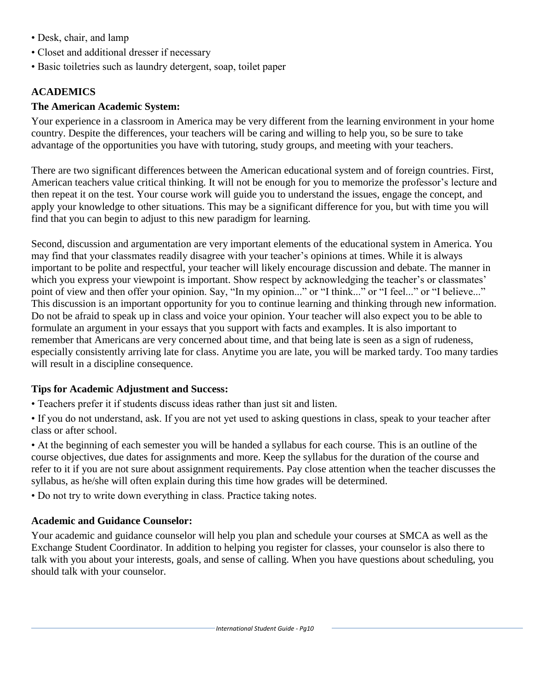- Desk, chair, and lamp
- Closet and additional dresser if necessary
- Basic toiletries such as laundry detergent, soap, toilet paper

# **ACADEMICS**

## **The American Academic System:**

Your experience in a classroom in America may be very different from the learning environment in your home country. Despite the differences, your teachers will be caring and willing to help you, so be sure to take advantage of the opportunities you have with tutoring, study groups, and meeting with your teachers.

There are two significant differences between the American educational system and of foreign countries. First, American teachers value critical thinking. It will not be enough for you to memorize the professor's lecture and then repeat it on the test. Your course work will guide you to understand the issues, engage the concept, and apply your knowledge to other situations. This may be a significant difference for you, but with time you will find that you can begin to adjust to this new paradigm for learning.

Second, discussion and argumentation are very important elements of the educational system in America. You may find that your classmates readily disagree with your teacher's opinions at times. While it is always important to be polite and respectful, your teacher will likely encourage discussion and debate. The manner in which you express your viewpoint is important. Show respect by acknowledging the teacher's or classmates' point of view and then offer your opinion. Say, "In my opinion..." or "I think..." or "I feel..." or "I believe..." This discussion is an important opportunity for you to continue learning and thinking through new information. Do not be afraid to speak up in class and voice your opinion. Your teacher will also expect you to be able to formulate an argument in your essays that you support with facts and examples. It is also important to remember that Americans are very concerned about time, and that being late is seen as a sign of rudeness, especially consistently arriving late for class. Anytime you are late, you will be marked tardy. Too many tardies will result in a discipline consequence.

# **Tips for Academic Adjustment and Success:**

- Teachers prefer it if students discuss ideas rather than just sit and listen.
- If you do not understand, ask. If you are not yet used to asking questions in class, speak to your teacher after class or after school.

• At the beginning of each semester you will be handed a syllabus for each course. This is an outline of the course objectives, due dates for assignments and more. Keep the syllabus for the duration of the course and refer to it if you are not sure about assignment requirements. Pay close attention when the teacher discusses the syllabus, as he/she will often explain during this time how grades will be determined.

• Do not try to write down everything in class. Practice taking notes.

# **Academic and Guidance Counselor:**

Your academic and guidance counselor will help you plan and schedule your courses at SMCA as well as the Exchange Student Coordinator. In addition to helping you register for classes, your counselor is also there to talk with you about your interests, goals, and sense of calling. When you have questions about scheduling, you should talk with your counselor.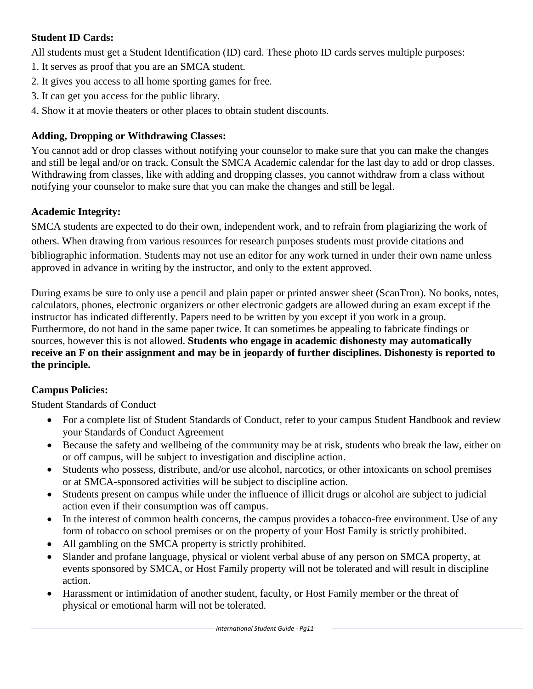## **Student ID Cards:**

All students must get a Student Identification (ID) card. These photo ID cards serves multiple purposes:

- 1. It serves as proof that you are an SMCA student.
- 2. It gives you access to all home sporting games for free.
- 3. It can get you access for the public library.
- 4. Show it at movie theaters or other places to obtain student discounts.

# **Adding, Dropping or Withdrawing Classes:**

You cannot add or drop classes without notifying your counselor to make sure that you can make the changes and still be legal and/or on track. Consult the SMCA Academic calendar for the last day to add or drop classes. Withdrawing from classes, like with adding and dropping classes, you cannot withdraw from a class without notifying your counselor to make sure that you can make the changes and still be legal.

# **Academic Integrity:**

SMCA students are expected to do their own, independent work, and to refrain from plagiarizing the work of others. When drawing from various resources for research purposes students must provide citations and bibliographic information. Students may not use an editor for any work turned in under their own name unless approved in advance in writing by the instructor, and only to the extent approved.

During exams be sure to only use a pencil and plain paper or printed answer sheet (ScanTron). No books, notes, calculators, phones, electronic organizers or other electronic gadgets are allowed during an exam except if the instructor has indicated differently. Papers need to be written by you except if you work in a group. Furthermore, do not hand in the same paper twice. It can sometimes be appealing to fabricate findings or sources, however this is not allowed. **Students who engage in academic dishonesty may automatically receive an F on their assignment and may be in jeopardy of further disciplines. Dishonesty is reported to the principle.**

# **Campus Policies:**

Student Standards of Conduct

- For a complete list of Student Standards of Conduct, refer to your campus Student Handbook and review your Standards of Conduct Agreement
- Because the safety and wellbeing of the community may be at risk, students who break the law, either on or off campus, will be subject to investigation and discipline action.
- Students who possess, distribute, and/or use alcohol, narcotics, or other intoxicants on school premises or at SMCA-sponsored activities will be subject to discipline action.
- Students present on campus while under the influence of illicit drugs or alcohol are subject to judicial action even if their consumption was off campus.
- In the interest of common health concerns, the campus provides a tobacco-free environment. Use of any form of tobacco on school premises or on the property of your Host Family is strictly prohibited.
- All gambling on the SMCA property is strictly prohibited.
- Slander and profane language, physical or violent verbal abuse of any person on SMCA property, at events sponsored by SMCA, or Host Family property will not be tolerated and will result in discipline action.
- Harassment or intimidation of another student, faculty, or Host Family member or the threat of physical or emotional harm will not be tolerated.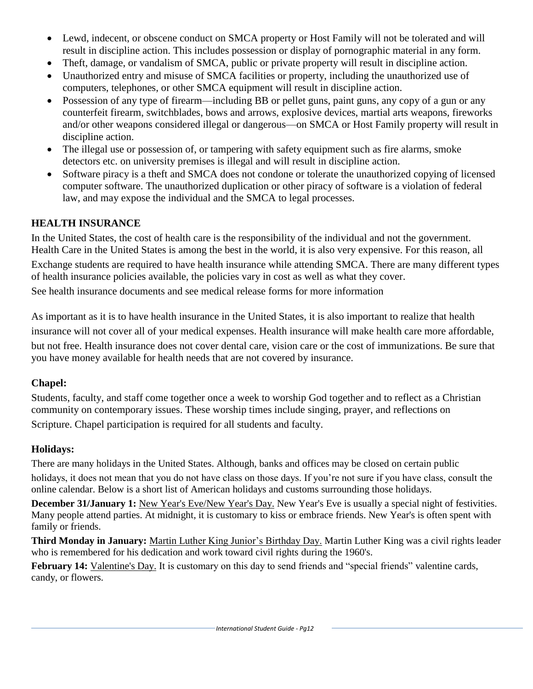- Lewd, indecent, or obscene conduct on SMCA property or Host Family will not be tolerated and will result in discipline action. This includes possession or display of pornographic material in any form.
- Theft, damage, or vandalism of SMCA, public or private property will result in discipline action.
- Unauthorized entry and misuse of SMCA facilities or property, including the unauthorized use of computers, telephones, or other SMCA equipment will result in discipline action.
- Possession of any type of firearm—including BB or pellet guns, paint guns, any copy of a gun or any counterfeit firearm, switchblades, bows and arrows, explosive devices, martial arts weapons, fireworks and/or other weapons considered illegal or dangerous—on SMCA or Host Family property will result in discipline action.
- The illegal use or possession of, or tampering with safety equipment such as fire alarms, smoke detectors etc. on university premises is illegal and will result in discipline action.
- Software piracy is a theft and SMCA does not condone or tolerate the unauthorized copying of licensed computer software. The unauthorized duplication or other piracy of software is a violation of federal law, and may expose the individual and the SMCA to legal processes.

# **HEALTH INSURANCE**

In the United States, the cost of health care is the responsibility of the individual and not the government. Health Care in the United States is among the best in the world, it is also very expensive. For this reason, all Exchange students are required to have health insurance while attending SMCA. There are many different types of health insurance policies available, the policies vary in cost as well as what they cover.

See health insurance documents and see medical release forms for more information

As important as it is to have health insurance in the United States, it is also important to realize that health insurance will not cover all of your medical expenses. Health insurance will make health care more affordable, but not free. Health insurance does not cover dental care, vision care or the cost of immunizations. Be sure that you have money available for health needs that are not covered by insurance.

# **Chapel:**

Students, faculty, and staff come together once a week to worship God together and to reflect as a Christian community on contemporary issues. These worship times include singing, prayer, and reflections on Scripture. Chapel participation is required for all students and faculty.

# **Holidays:**

There are many holidays in the United States. Although, banks and offices may be closed on certain public

holidays, it does not mean that you do not have class on those days. If you're not sure if you have class, consult the online calendar. Below is a short list of American holidays and customs surrounding those holidays.

**December 31/January 1:** New Year's Eve/New Year's Day. New Year's Eve is usually a special night of festivities. Many people attend parties. At midnight, it is customary to kiss or embrace friends. New Year's is often spent with family or friends.

**Third Monday in January:** Martin Luther King Junior's Birthday Day. Martin Luther King was a civil rights leader who is remembered for his dedication and work toward civil rights during the 1960's.

**February 14:** Valentine's Day. It is customary on this day to send friends and "special friends" valentine cards, candy, or flowers.